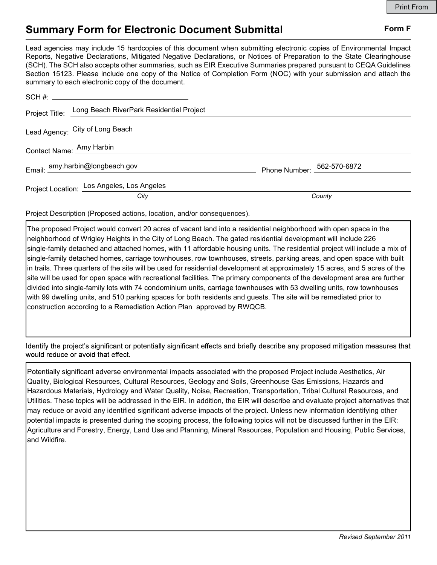## Summary Form for Electronic Document Submittal Form F

Lead agencies may include 15 hardcopies of this document when submitting electronic copies of Environmental Impact Reports, Negative Declarations, Mitigated Negative Declarations, or Notices of Preparation to the State Clearinghouse (SCH). The SCH also accepts other summaries, such as EIR Executive Summaries prepared pursuant to CEQA Guidelines Section 15123. Please include one copy of the Notice of Completion Form (NOC) with your submission and attach the summary to each electronic copy of the document.

| Project Title: Long Beach RiverPark Residential Project |                            |
|---------------------------------------------------------|----------------------------|
| Lead Agency: City of Long Beach                         |                            |
| Contact Name: Amy Harbin                                |                            |
| Email: amy.harbin@longbeach.gov                         | Phone Number: 562-570-6872 |
| Project Location: Los Angeles, Los Angeles              |                            |
| City                                                    | County                     |

Project Description (Proposed actions, location, and/or consequences).

The proposed Project would convert 20 acres of vacant land into a residential neighborhood with open space in the neighborhood of Wrigley Heights in the City of Long Beach. The gated residential development will include 226 single-family detached and attached homes, with 11 affordable housing units. The residential project will include a mix of single-family detached homes, carriage townhouses, row townhouses, streets, parking areas, and open space with built in trails. Three quarters of the site will be used for residential development at approximately 15 acres, and 5 acres of the site will be used for open space with recreational facilities. The primary components of the development area are further divided into single-family lots with 74 condominium units, carriage townhouses with 53 dwelling units, row townhouses with 99 dwelling units, and 510 parking spaces for both residents and guests. The site will be remediated prior to construction according to a Remediation Action Plan approved by RWQCB.

Identify the project's significant or potentially significant effects and briefly describe any proposed mitigation measures that would reduce or avoid that effect.

Potentially significant adverse environmental impacts associated with the proposed Project include Aesthetics, Air Quality, Biological Resources, Cultural Resources, Geology and Soils, Greenhouse Gas Emissions, Hazards and Hazardous Materials, Hydrology and Water Quality, Noise, Recreation, Transportation, Tribal Cultural Resources, and Utilities. These topics will be addressed in the EIR. In addition, the EIR will describe and evaluate project alternatives that may reduce or avoid any identified significant adverse impacts of the project. Unless new information identifying other potential impacts is presented during the scoping process, the following topics will not be discussed further in the EIR: Agriculture and Forestry, Energy, Land Use and Planning, Mineral Resources, Population and Housing, Public Services, and Wildfire.